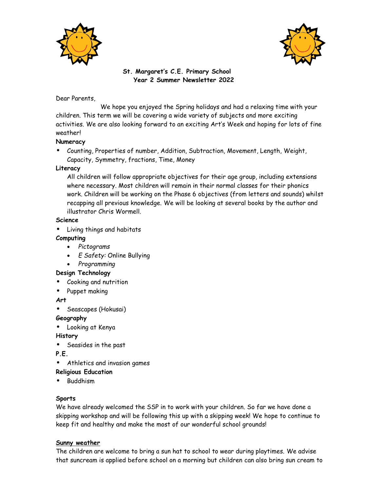



# **St. Margaret's C.E. Primary School Year 2 Summer Newsletter 2022**

Dear Parents,

We hope you enjoyed the Spring holidays and had a relaxing time with your children. This term we will be covering a wide variety of subjects and more exciting activities. We are also looking forward to an exciting Art's Week and hoping for lots of fine weather!

# **Numeracy**

**•** Counting, Properties of number, Addition, Subtraction, Movement, Length, Weight, Capacity, Symmetry, fractions, Time, Money

# **Literacy**

All children will follow appropriate objectives for their age group, including extensions where necessary. Most children will remain in their normal classes for their phonics work. Children will be working on the Phase 6 objectives (from letters and sounds) whilst recapping all previous knowledge. We will be looking at several books by the author and illustrator Chris Wormell.

### **Science**

• Living things and habitats

# **Computing**

- *Pictograms*
- *E Safety:* Online Bullying
- *Programming*

# **Design Technology**

- Cooking and nutrition
- Puppet making

### **Art**

• Seascapes (Hokusai)

### **Geography**

**•** Looking at Kenya

**History**

• Seasides in the past

**P.E.**

**•** Athletics and invasion games

# **Religious Education**

**•** Buddhism

# **Sports**

We have already welcomed the SSP in to work with your children. So far we have done a skipping workshop and will be following this up with a skipping week! We hope to continue to keep fit and healthy and make the most of our wonderful school grounds!

# **Sunny weather**

The children are welcome to bring a sun hat to school to wear during playtimes. We advise that suncream is applied before school on a morning but children can also bring sun cream to